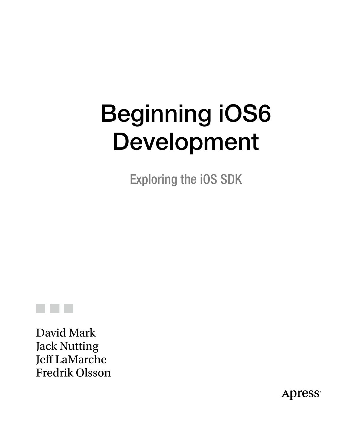## **Beginning iOS6 Development**

Exploring the iOS SDK



David Mark Jack Nutting Jeff LaMarche Fredrik Olsson

Apress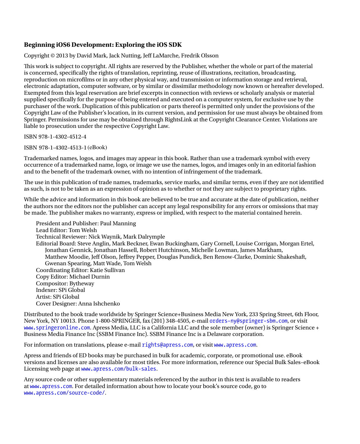**Beginning in the internal of the internal conducts**<br>Copyright © 2013 by David Mark, Jack Nutting, Jeff LaMarche, Fredrik Olsson

This work is subject to copyright. All rights are reserved by the Publisher, whether the whole or part of the material is concerned, specifically the rights of translation, reprinting, reuse of illustrations, recitation, broadcasting, reproduction on microfilms or in any other physical way, and transmission or information storage and retrieval, electronic adaptation, computer software, or by similar or dissimilar methodology now known or hereafter developed. Exempted from this legal reservation are brief excerpts in connection with reviews or scholarly analysis or material supplied specifically for the purpose of being entered and executed on a computer system, for exclusive use by the purchaser of the work. Duplication of this publication or parts thereof is permitted only under the provisions of the Copyright Law of the Publisher's location, in its current version, and permission for use must always be obtained from Springer. Permissions for use may be obtained through RightsLink at the Copyright Clearance Center. Violations are liable to prosecution under the respective Copyright Law.

ISBN 978-1-4302-4512-4

ISBN 978-1-4302-4513-1 (eBook)

Trademarked names, logos, and images may appear in this book. Rather than use a trademark symbol with every occurrence of a trademarked name, logo, or image we use the names, logos, and images only in an editorial fashion and to the benefit of the trademark owner, with no intention of infringement of the trademark.

The use in this publication of trade names, trademarks, service marks, and similar terms, even if they are not identified as such, is not to be taken as an expression of opinion as to whether or not they are subject to proprietary rights.

While the advice and information in this book are believed to be true and accurate at the date of publication, neither the authors nor the editors nor the publisher can accept any legal responsibility for any errors or omissions that may be made. The publisher makes no warranty, express or implied, with respect to the material contained herein.

President and Publisher: Paul Manning Lead Editor: Tom Welsh Technical Reviewer: Nick Waynik, Mark Dalrymple Editorial Board: Steve Anglin, Mark Beckner, Ewan Buckingham, Gary Cornell, Louise Corrigan, Morgan Ertel, Jonathan Gennick, Jonathan Hassell, Robert Hutchinson, Michelle Lowman, James Markham, Matthew Moodie, Jeff Olson, Jeffrey Pepper, Douglas Pundick, Ben Renow-Clarke, Dominic Shakeshaft, Gwenan Spearing, Matt Wade, Tom Welsh Coordinating Editor: Katie Sullivan Copy Editor: Michael Durnin Compositor: Bytheway Indexer: SPi Global Artist: SPi Global Cover Designer: Anna Ishchenko

Distributed to the book trade worldwide by Springer Science+Business Media New York, 233 Spring Street, 6th Floor, New York, NY 10013. Phone 1-800-SPRINGER, fax (201) 348-4505, e-mail orders-ny@springer-sbm.com, or visit www.springeronline.com. Apress Media, LLC is a California LLC and the sole member (owner) is Springer Science + Business Media Finance Inc (SSBM Finance Inc). SSBM Finance Inc is a Delaware corporation.

For information on translations, please e-mail rights@apress.com, or visit www.apress.com.

Apress and friends of ED books may be purchased in bulk for academic, corporate, or promotional use. eBook versions and licenses are also available for most titles. For more information, reference our Special Bulk Sales–eBook Licensing web page at www.apress.com/bulk-sales.

Any source code or other supplementary materials referenced by the author in this text is available to readers at www.apress.com. For detailed information about how to locate your book's source code, go to www.apress.com/source-code/.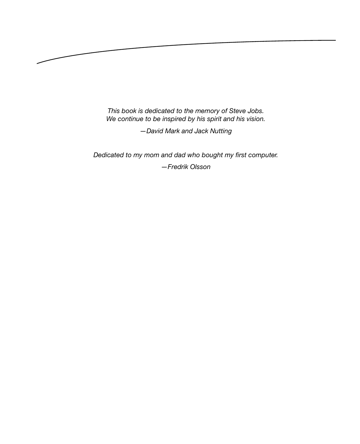*This book is dedicated to the memory of Steve Jobs. We continue to be inspired by his spirit and his vision.*

*—David Mark and Jack Nutting*

*Dedicated to my mom and dad who bought my first computer. —Fredrik Olsson*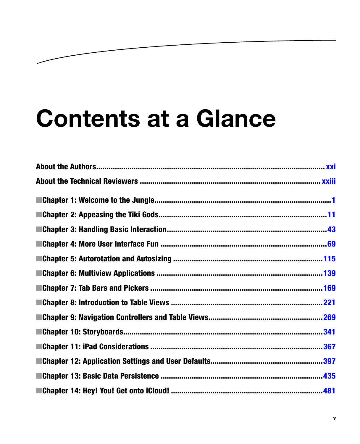### **Contents at a Glance**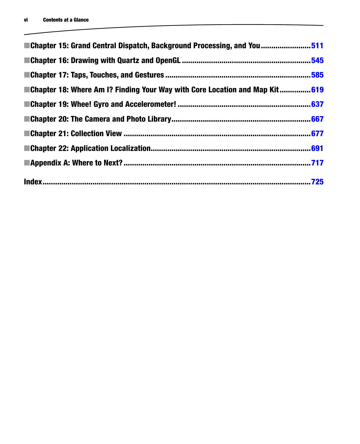| ■ Chapter 15: Grand Central Dispatch, Background Processing, and You 511     |
|------------------------------------------------------------------------------|
|                                                                              |
|                                                                              |
| ■ Chapter 18: Where Am 1? Finding Your Way with Core Location and Map Kit619 |
|                                                                              |
|                                                                              |
|                                                                              |
|                                                                              |
|                                                                              |
|                                                                              |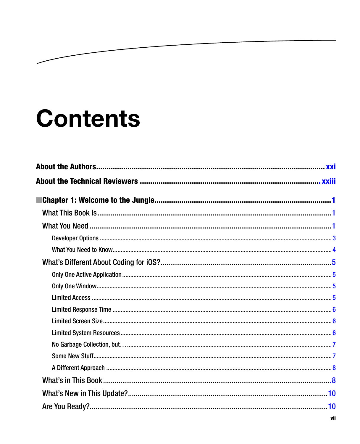### **Contents**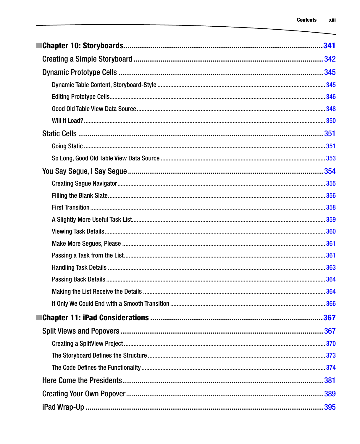| .389 |
|------|
| 395  |
|      |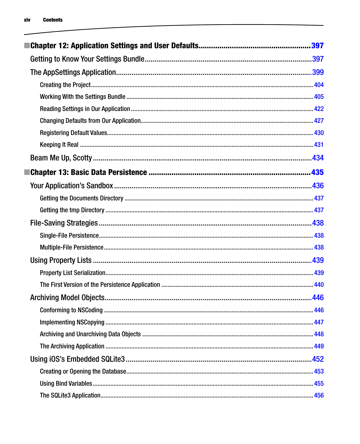| Chapter 13: Basic Data Persistence ……………………………………………………………………435 |  |
|------------------------------------------------------------------|--|
|                                                                  |  |
|                                                                  |  |
|                                                                  |  |
|                                                                  |  |
|                                                                  |  |
|                                                                  |  |
|                                                                  |  |
|                                                                  |  |
|                                                                  |  |
|                                                                  |  |
|                                                                  |  |
|                                                                  |  |
|                                                                  |  |
|                                                                  |  |
|                                                                  |  |
|                                                                  |  |
|                                                                  |  |
|                                                                  |  |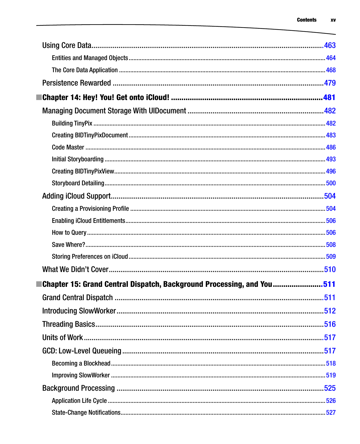| Chapter 15: Grand Central Dispatch, Background Processing, and You511 |  |
|-----------------------------------------------------------------------|--|
|                                                                       |  |
|                                                                       |  |
|                                                                       |  |
|                                                                       |  |
|                                                                       |  |
|                                                                       |  |
|                                                                       |  |
|                                                                       |  |
|                                                                       |  |
|                                                                       |  |
|                                                                       |  |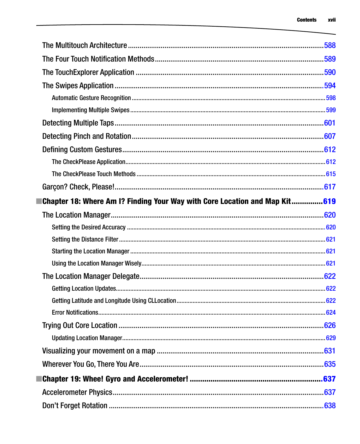| Chapter 18: Where Am I? Finding Your Way with Core Location and Map Kit619 |  |
|----------------------------------------------------------------------------|--|
|                                                                            |  |
|                                                                            |  |
|                                                                            |  |
|                                                                            |  |
|                                                                            |  |
|                                                                            |  |
|                                                                            |  |
|                                                                            |  |
|                                                                            |  |
|                                                                            |  |
|                                                                            |  |
|                                                                            |  |
|                                                                            |  |
|                                                                            |  |
|                                                                            |  |
|                                                                            |  |
|                                                                            |  |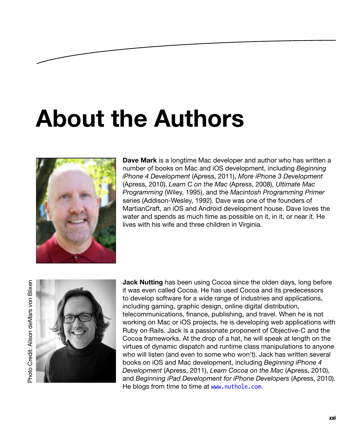### **About the Authors**



**Dave Mark** is a longtime Mac developer and author who has written a number of books on Mac and iOS development, including *Beginning iPhone 4 Development* (Apress, 2011), *More iPhone 3 Development* (Apress, 2010), *Learn C on the Mac* (Apress, 2008), *Ultimate Mac Programming* (Wiley, 1995), and the *Macintosh Programming Primer* series (Addison-Wesley, 1992). Dave was one of the founders of MartianCraft, an iOS and Android development house. Dave loves the water and spends as much time as possible on it, in it, or near it. He lives with his wife and three children in Virginia.





**Jack Nutting** has been using Cocoa since the olden days, long before it was even called Cocoa. He has used Cocoa and its predecessors to develop software for a wide range of industries and applications, including gaming, graphic design, online digital distribution, telecommunications, finance, publishing, and travel. When he is not working on Mac or iOS projects, he is developing web applications with Ruby on Rails. Jack is a passionate proponent of Objective-C and the Cocoa frameworks. At the drop of a hat, he will speak at length on the virtues of dynamic dispatch and runtime class manipulations to anyone who will listen (and even to some who won't). Jack has written several books on iOS and Mac development, including *Beginning iPhone 4 Development* (Apress, 2011), *Learn Cocoa on the Mac* (Apress, 2010), and *Beginning iPad Development for iPhone Developers* (Apress, 2010). He blogs from time to time at www.nuthole.com.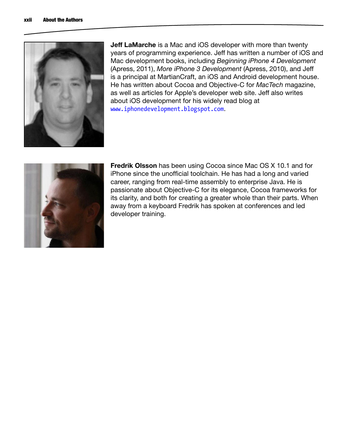

**Jeff LaMarche** is a Mac and iOS developer with more than twenty years of programming experience. Jeff has written a number of iOS and Mac development books, including *Beginning iPhone 4 Development* (Apress, 2011), *More iPhone 3 Development* (Apress, 2010), and Jeff is a principal at MartianCraft, an iOS and Android development house. He has written about Cocoa and Objective-C for *MacTech* magazine, as well as articles for Apple's developer web site. Jeff also writes about iOS development for his widely read blog at www.iphonedevelopment.blogspot.com.



**Fredrik Olsson** has been using Cocoa since Mac OS X 10.1 and for iPhone since the unofficial toolchain. He has had a long and varied career, ranging from real-time assembly to enterprise Java. He is passionate about Objective-C for its elegance, Cocoa frameworks for its clarity, and both for creating a greater whole than their parts. When away from a keyboard Fredrik has spoken at conferences and led developer training.